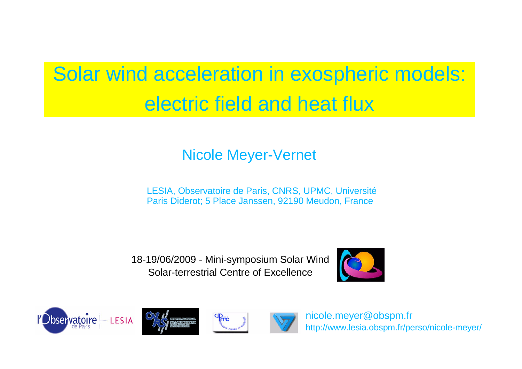# Solar wind acceleration in exospheric models: electric field and heat flux

#### Nicole Meyer-Vernet

LESIA, Observatoire de Paris, CNRS, UPMC, Université Paris Diderot; 5 Place Janssen, 92190 Meudon, France

18-19/06/2009 - Mini-symposium Solar Wind Solar-terrestrial Centre of Excellence









nicole.meyer@obspm.fr http://www.lesia.obspm.fr/perso/nicole-meyer/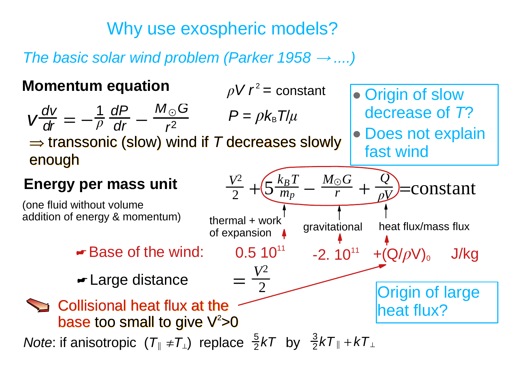Why use exospheric models?

*The basic solar wind problem (Parker 1958*  $\rightarrow$  *....)* 

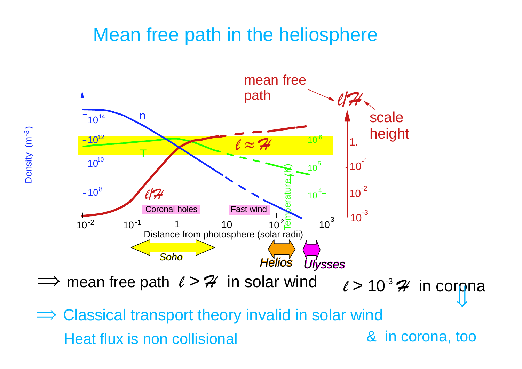### Mean free path in the heliosphere

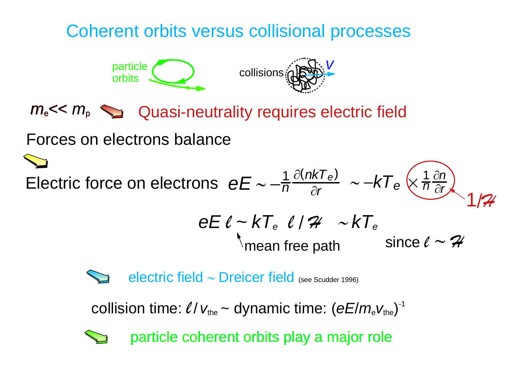### Coherent orbits versus collisional processes



*m*<sub>e</sub> << *m*<sub>p</sub>  $\sum$  Quasi-neutrality requires electric field

Forces on electrons balance

mean free path *eE* l *<sup>~</sup> kTe* l / H <sup>i</sup>*kTe* since  $\ell \sim {\cal{H}}$  $\tilde{\phantom{m}}$  $\epsilon = -\frac{1}{n} \frac{\partial (nkT_e)}{\partial r} \sim -kT_e \left(\frac{1}{n} \frac{\partial n}{\partial r}\right)$ 



collision time:  $\ell / v_{\text{the}} \sim$  dynamic time:  $(eE/m_eV_{\text{the}})^{-1}$ 



particle coherent orbits play a major role particle coherent orbits play a major role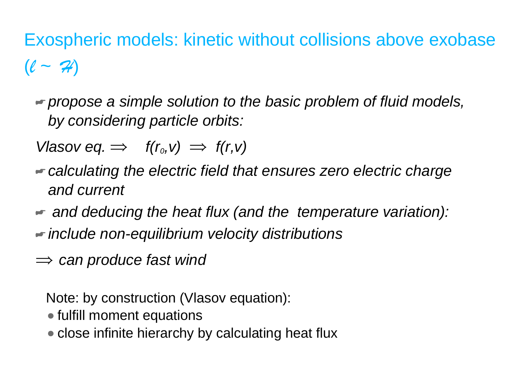# Exospheric models: kinetic without collisions above exobase ( l *<sup>~</sup>* H)

- *propose a simple solution to the basic problem of fluid models, by considering particle orbits:*
- *Vlasov eq.*  $\implies$  $f(r_0, v) \implies f(r, v)$
- *calculating the electric field that ensures zero electric charge and current*
- *and deducing the heat flux (and the temperature variation):*
- *include non-equilibrium velocity distributions*
- $\implies$  can produce fast wind

Note: by construction (Vlasov equation):

- fulfill moment equations
- close infinite hierarchy by calculating heat flux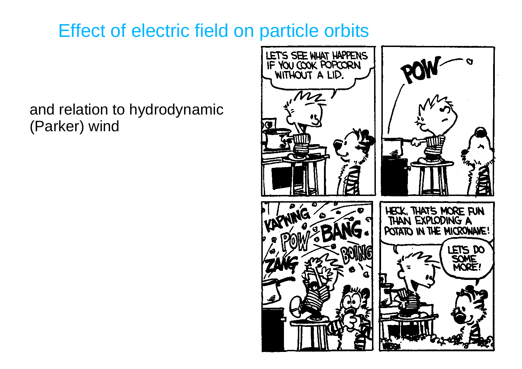## Effect of electric field on particle orbits

#### and relation to hydrodynamic (Parker) wind

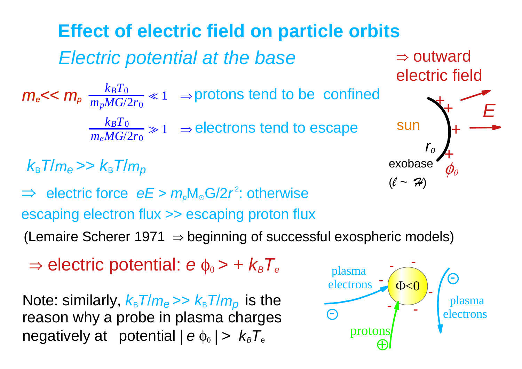*Electric potential at the base* **Effect of electric field on particle orbits**  $k_BT_0$ *m <sup>p</sup>MG*/2 *r* 0  $m_e$   $\lt$   $\lt$   $m_p \frac{k_B T_0}{m_p M G / 2 r_0}$   $\ll$  1  $\Rightarrow$  protons tend to be confined  $k_BT_0$ *m <sup>e</sup>MG*/2 *r* 0  $\gg 1$   $\;\Rightarrow$  electrons tend to escape *E* sun *r0* ++++exobase (l *~*H)  $\Rightarrow$  outward electric field  $\Rightarrow$  electric force  $eE > m_p M_{\odot} G/2r^2$ : otherwise escaping electron flux >> escaping proton flux *k*B *T*/ *me* >> *k*B *T*/ *mp*

(Lemaire Scherer 1971  $\Rightarrow$  beginning of successful exospheric models)

 $\Rightarrow$  electric potential: *e* φ<sub>0</sub> > + *k<sub>B</sub>T<sub>e</sub>* 

 $N$ ote: similarly,  $k_{\text{\tiny B}}$   $\overline{I}/m_{\text{\tiny e}} >> k_{\text{\tiny B}}$   $\overline{I}/m_{\text{\tiny p}}$  is the reason why a probe in plasma charges negatively at potential | *<sup>e</sup>* φ <sup>0</sup> | <sup>&</sup>gt; *kB T*e

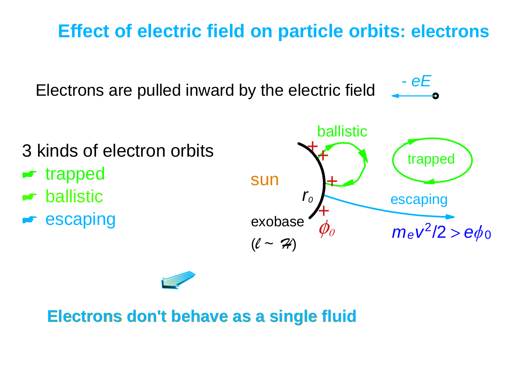## **Effect of electric field on particle orbits: electrons**

Electrons are pulled inward by the electric field *- eE*

3 kinds of electron orbits **\*\*** trapped  $\blacktriangleright$  ballistic **Escaping** 





### **Electrons don't behave as a single fluid Electrons don't behave as a single fluid**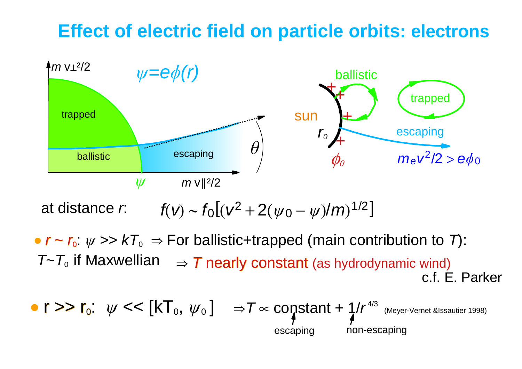### **Effect of electric field on particle orbits: electrons**



at distance *r*:  $f(v) \sim f_0[(v^2 + 2(\psi_0 - \psi)/m)^{1/2}]$ 

•  $r - r_0$ :  $\psi >> kT_0 \Rightarrow$  For ballistic+trapped (main contribution to *T*):  $\mathcal{T}\text{-}\mathcal{T}_0$  if Maxwellian  $\;\;\Rightarrow$   $\mathcal{T}$  nearly constant (as hydrodynamic wind) c.f. E. Parker

$$
\bullet \text{ r} >> \text{r}_0: \text{ } \psi << [kT_0, \psi_0] \text{ } \Rightarrow \text{T} \propto \text{constant} + \frac{1}{4} / r^{4/3} \text{ (Meyer-Vernet } 4998) \text{ (Meyer-Vernet } 1998) \text{ (Meyer-Vernet } 1998) \text{ (Muyer-Vernet } 1998) \text{ (Muyer-Vernet } 1998) \text{ (Muyer-Vernet } 1998) \text{ (Muyer-Vernet } 1998) \text{ (Muyer-Vernet } 1998) \text{ (Muyer-Vernet } 1998) \text{ (Muyer-Vernet } 1998) \text{ (Muyer-Vernet } 1998) \text{ (Muyer-Vernet } 1998) \text{ (Muyer-Vernet } 1998) \text{ (Muyer-Vernet } 1998) \text{ (Muyer-Vernet } 1998) \text{ (Muyer-Vernet } 1998) \text{ (Muyer-Vernet } 1998) \text{ (Muyer-Vernet } 1998) \text{ (Muyer-Vernet } 1998) \text{ (Muyer-Vernet } 1998) \text{ (Muyer-Vernet } 1998) \text{ (Muyer-Vernet } 1998) \text{ (Muyer-Vernet } 1998) \text{ (Muyer-Vernet } 1998) \text{ (Muyer-Vernet } 1998) \text{ (Muyer-Vernet } 1998) \text{ (Muyer-Vernet } 1998) \text{ (Muyer-Vernet } 1998) \text{ (Muyer-Vernet } 1998) \text{ (Muyer-Vernet } 1998) \text{ (Muyer-Vernet } 1998) \text{ (Muyer-Vernet } 1998) \text{ (Muyer-Vernet } 1998) \text{ (Muyer-Vernet } 1998) \text{ (Muyer-Vernet } 1998) \text{ (Muyer-Vernet } 1998) \text{ (Muyer-Vernet } 1998) \text{ (Muyer-Vernet } 1998) \text{ (Muyer-Vernet } 1998) \text{ (Muyer-Vernet } 1998) \text{ (Muyer-Veret } 1998) \text{ (Muyer-Veret } 1998) \text{ (Muyer-Veret } 1998)
$$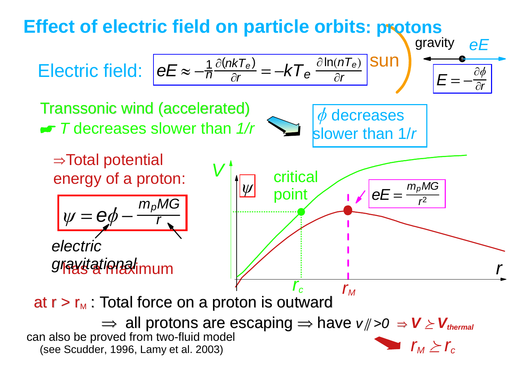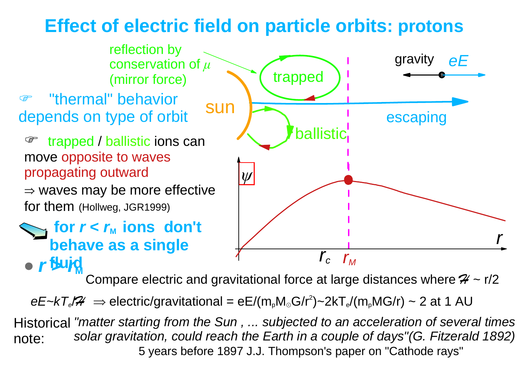## **Effect of electric field on particle orbits: protons**



Compare electric and gravitational force at large distances where  $\mathcal{H} \sim r/2$ 

*eE~kT。/*# ⇒ electric/gravitational = eE/(m,M。G/r<sup>2</sup>)~2kT。/(m,MG/r) ~ 2 at 1 AU

*"matter starting from the Sun , ... subjected to an acceleration of several time s* Historical *solar gravitation, could reach the Earth in a couple of days"(G. Fitzerald 1892)* 5 years before 1897 J.J. Thompson's paper on "Cathode rays" note: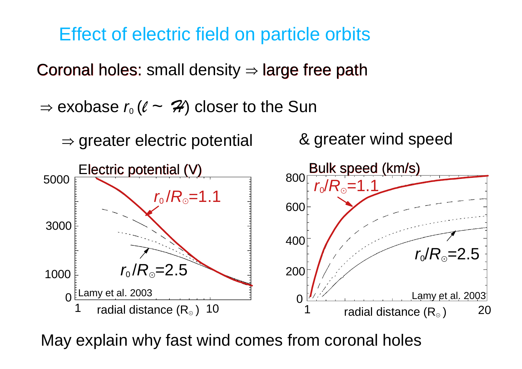Effect of electric field on particle orbits

Coronal holes: small density  $\Rightarrow$  large free path

 $\Rightarrow$  exobase  $r_{\text{o}} \, (\ell \, \thicksim \, \mathcal{H})$  closer to the Sun

 $\Rightarrow$  greater electric potential

& greater wind speed



May explain why fast wind comes from coronal holes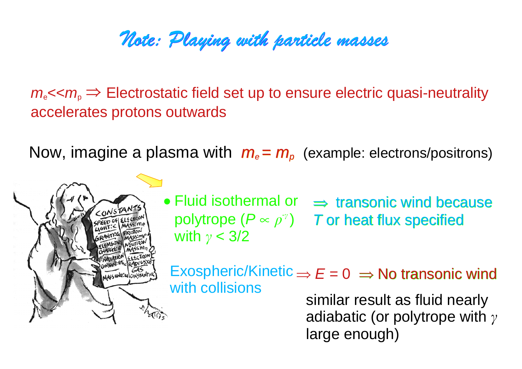# Note: Playing with particle masses

 $m_{\rm e}$   $\ll$   $m_{\rm p}$   $\Rightarrow$  Electrostatic field set up to ensure electric quasi-neutrality accelerates protons outwards

Now, imagine a plasma with  $m_e = m_p$  (example: electrons/positrons)

MASS UNIT: U CONSTANT:



 $\mathsf{Exospheric/Kinetic} \Longrightarrow E = 0 \ \Rightarrow \mathsf{No} \ \mathsf{transonic} \ \mathsf{wind}$ with collisions

similar result as fluid nearly adiabatic (or polytrope with  $\gamma$ large enough)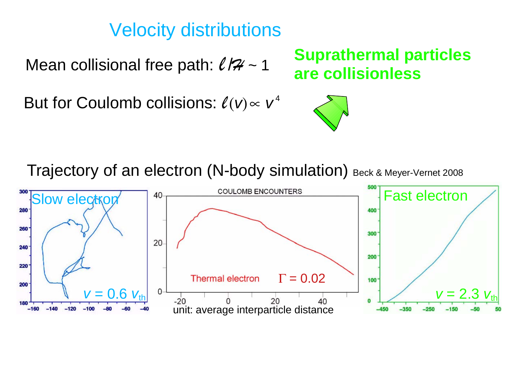### Velocity distributions

Mean collisional free path:  $\ell / 7/7$  ~ 1

But for Coulomb collisions:  $\ell(v) \propto v^4$ 

**Suprathermal particles are collisionless**



Trajectory of an electron (N-body simulation) Beck & Meyer-Vernet 2008

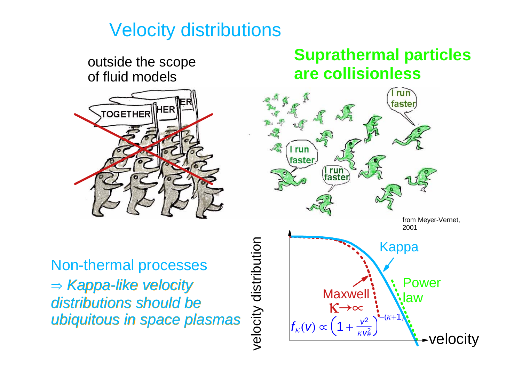### Velocity distributions

outside the scope of fluid models



Non-thermal processes <sup>e</sup>*Kappa-like velocity Kappa-like velocity distributions distributions should be should be ubiquitous in ubiquitous in space plasmas space plasmas*

#### **Suprathermal particles are collisionless**

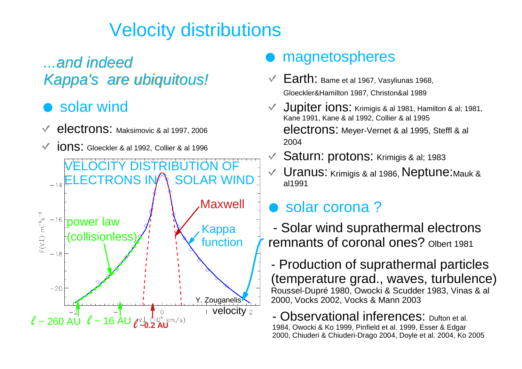# Velocity distributions

#### *...and indeed Kappa's are ubiquitous! Kappa's are ubiquitous!*

#### solar wind

- electrons: Maksimovic & al 1997, 2006
- ions: Gloeckler & al 1992, Collier & al 1996  $\checkmark$



#### magnetospheres

- $\sqrt{2}$  Earth: Bame et al 1967, Vasyliunas 1968, Gloeckler&Hamilton 1987, Christon&al 1989
- Jupiter ions: Krimigis & al 1981, Hamilton & al; 1981, Kane 1991, Kane & al 1992, Collier & al 1995 electrons: Meyer-Vernet & al 1995, Steffl & al 2004
- Saturn: protons: Krimigis & al; 1983
- Uranus: Krimigis & al 1986, Neptune:Mauk &  $\sqrt{2}$ al1991

#### solar corona ?

- Solar wind suprathermal electrons remnants of coronal ones? Olbert 1981

- Production of suprathermal particles (temperature grad., waves, turbulence) Roussel-Dupré 1980, Owocki & Scudder 1983, Vinas & al 2000, Vocks 2002, Vocks & Mann 2003

- Observational inferences: Dufton et al. 1984, Owocki & Ko 1999, Pinfield et al. 1999, Esser & Edgar 2000, Chiuderi & Chiuderi-Drago 2004, Doyle et al. 2004, Ko 2005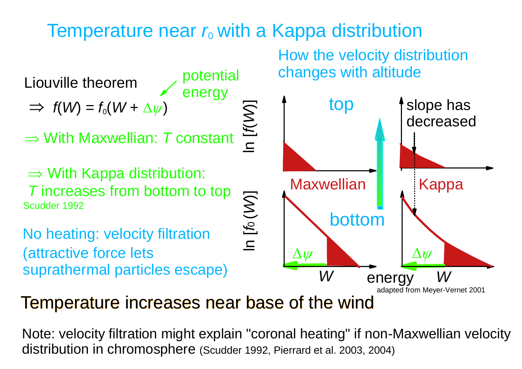# Temperature near  $r_{\rm o}$  with a Kappa distribution



How the velocity distribution changes with altitude



Temperature increases near base of the wind

Note: velocity filtration might explain "coronal heating" if non-Maxwellian velocity distribution in chromosphere (Scudder 1992, Pierrard et al. 2003, 2004)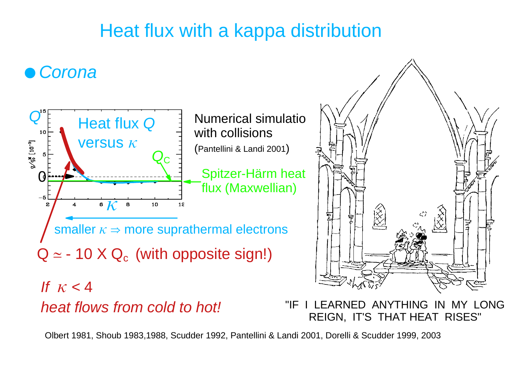# Heat flux with a kappa distribution

### *Corona*



*heat flows from cold to hot!* "IF I LEARNED ANYTHING IN MY LONG REIGN, IT'S THAT HEAT RISES"

Olbert 1981, Shoub 1983,1988, Scudder 1992, Pantellini & Landi 2001, Dorelli & Scudder 1999, 2003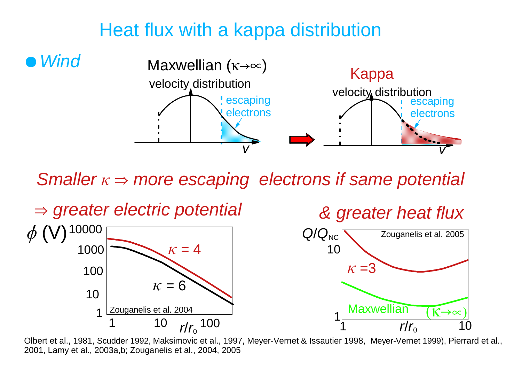### Heat flux with a kappa distribution



*Smaller*  $\kappa \Rightarrow$  *more escaping electrons if same potential* 



Olbert et al., 1981, Scudder 1992, Maksimovic et al., 1997, Meyer-Vernet & Issautier 1998, Meyer-Vernet 1999), Pierrard et al., 2001, Lamy et al., 2003a,b; Zouganelis et al., 2004, 2005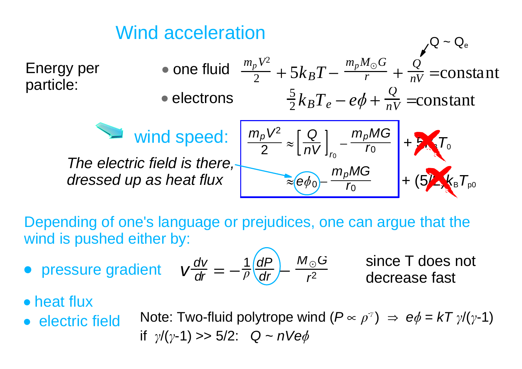

Depending of one's language or prejudices, one can argue that the wind is pushed either by:

• pressure gradient 
$$
v \frac{dv}{dr} = -\frac{1}{\rho} \frac{dP}{dr} - \frac{M_{\odot}G}{r^2}
$$
 since T does decrease fast

since T does not

- heat flux
- electric field
- Note: Two-fluid polytrope wind  $(P \propto \rho^{\gamma}) \Rightarrow e\phi = kT \gamma/(\gamma-1)$ if  $\gamma/(y-1)$  >> 5/2:  $Q \sim nV e\phi$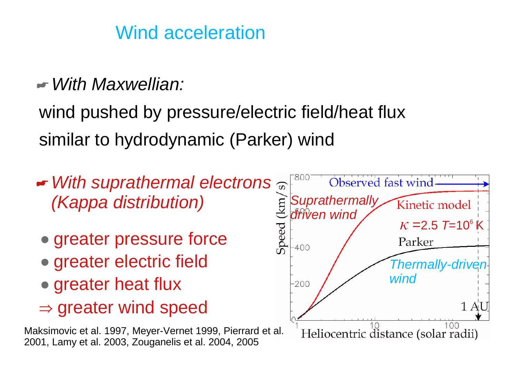# Wind acceleration

*With Maxwellian:*

wind pushed by pressure/electric field/heat flux similar to hydrodynamic (Parker) wind

- *With suprathermal electrons (Kappa distribution)*
	- greater pressure force
	- greater electric field
- greater heat flux
- $\Rightarrow$  greater wind speed

Maksimovic et al. 1997, Meyer-Vernet 1999, Pierrard et al. 2001, Lamy et al. 2003, Zouganelis et al. 2004, 2005

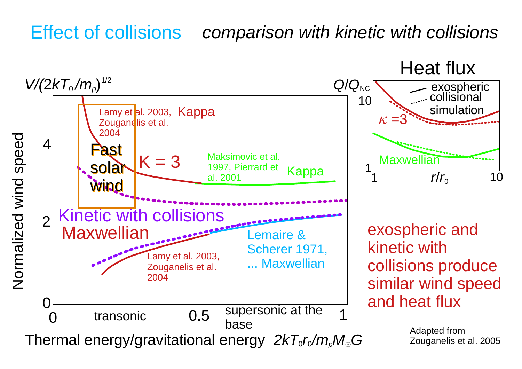# Effect of collisions *comparison with kinetic with collisions*

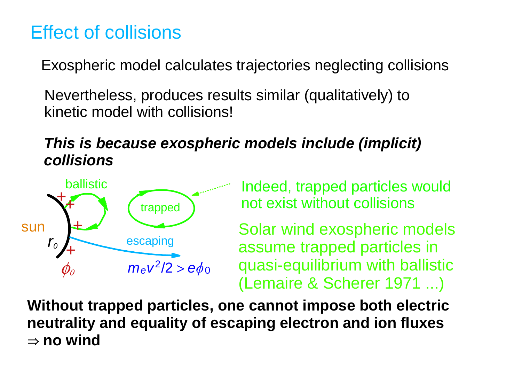# Effect of collisions

Exospheric model calculates trajectories neglecting collisions

Nevertheless, produces results similar (qualitatively) to kinetic model with collisions!

#### *This is because exospheric models include (implicit) collisions*



Indeed, trapped particles would not exist without collisions

Solar wind exospheric models assume trapped particles in quasi-equilibrium with ballistic (Lemaire & Scherer 1971 ...)

**Without trapped particles, one cannot impose both electric neutrality and equality of escaping electron and ion fluxes**   $\Rightarrow$  no wind